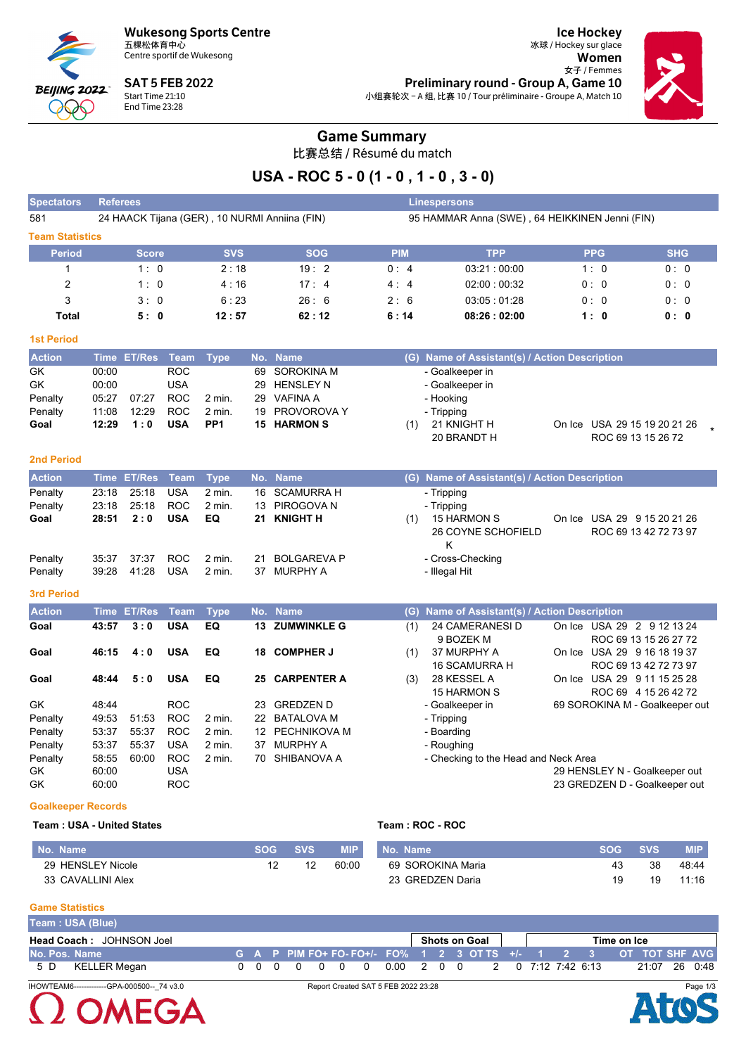**Wukesong Sports Centre** 五棵松体育中心



Centre sportif de Wukesong

**SAT 5 FEB 2022** Start Time 21:10<br>End Time 23:28

**Ice Hockey** 冰球 / Hockey sur glace Women 女子 / Femmes Preliminary round - Group A, Game 10 小组赛轮次 - A 组, 比赛 10 / Tour préliminaire - Groupe A, Match 10



## **Game Summary**

比赛总结 / Résumé du match

# USA - ROC 5 - 0 (1 - 0, 1 - 0, 3 - 0)

| <b>Spectators</b>         | <b>Referees</b> |                    |             |                 |     |                                               |                                                | <b>Linespersons</b>                           |                                |                       |  |  |  |  |  |
|---------------------------|-----------------|--------------------|-------------|-----------------|-----|-----------------------------------------------|------------------------------------------------|-----------------------------------------------|--------------------------------|-----------------------|--|--|--|--|--|
| 581                       |                 |                    |             |                 |     | 24 HAACK Tijana (GER), 10 NURMI Anniina (FIN) | 95 HAMMAR Anna (SWE), 64 HEIKKINEN Jenni (FIN) |                                               |                                |                       |  |  |  |  |  |
| <b>Team Statistics</b>    |                 |                    |             |                 |     |                                               |                                                |                                               |                                |                       |  |  |  |  |  |
| <b>Period</b>             |                 | <b>Score</b>       |             | <b>SVS</b>      |     | <b>SOG</b>                                    | <b>PIM</b>                                     | <b>TPP</b>                                    | <b>PPG</b>                     | <b>SHG</b>            |  |  |  |  |  |
| 1                         |                 | 1:0                |             | 2:18            |     | 19:2                                          | 0:4                                            | 03:21:00:00                                   | 1:0                            | 0:0                   |  |  |  |  |  |
| $\overline{c}$            |                 | 1:0                |             | 4:16            |     | 17:4                                          | 4:4                                            | 02:00:00:32                                   | 0: 0                           | 0:0                   |  |  |  |  |  |
| 3                         |                 | 3:0                |             | 6:23            |     | 26:6                                          | 2:6                                            | 03:05:01:28                                   | 0:0                            | 0:0                   |  |  |  |  |  |
| <b>Total</b>              |                 | 5:0                |             | 12:57           |     | 62:12                                         | 6:14                                           | 08:26:02:00                                   | 1:0                            | 0:0                   |  |  |  |  |  |
| <b>1st Period</b>         |                 |                    |             |                 |     |                                               |                                                |                                               |                                |                       |  |  |  |  |  |
| <b>Action</b>             | <b>Time</b>     | <b>ET/Res</b>      | <b>Team</b> | <b>Type</b>     | No. | <b>Name</b>                                   |                                                | (G) Name of Assistant(s) / Action Description |                                |                       |  |  |  |  |  |
| GK                        | 00:00           |                    | <b>ROC</b>  |                 | 69  | <b>SOROKINA M</b>                             |                                                | - Goalkeeper in                               |                                |                       |  |  |  |  |  |
| GK                        | 00:00           |                    | <b>USA</b>  |                 | 29  | <b>HENSLEY N</b>                              |                                                | - Goalkeeper in                               |                                |                       |  |  |  |  |  |
| Penalty                   | 05:27           | 07:27              | <b>ROC</b>  | 2 min.          | 29  | <b>VAFINA A</b>                               |                                                | - Hooking                                     |                                |                       |  |  |  |  |  |
| Penalty                   | 11:08           | 12:29              | <b>ROC</b>  | $2$ min.        | 19  | PROVOROVA Y                                   |                                                | - Tripping                                    |                                |                       |  |  |  |  |  |
| Goal                      | 12:29           | 1:0                | <b>USA</b>  | PP <sub>1</sub> |     | <b>15 HARMON S</b>                            | (1)                                            | 21 KNIGHT H                                   | On Ice USA 29 15 19 20 21 26   |                       |  |  |  |  |  |
|                           |                 |                    |             |                 |     |                                               |                                                | 20 BRANDT H                                   | ROC 69 13 15 26 72             |                       |  |  |  |  |  |
| <b>2nd Period</b>         |                 |                    |             |                 |     |                                               |                                                |                                               |                                |                       |  |  |  |  |  |
| <b>Action</b>             |                 | Time ET/Res        | <b>Team</b> | <b>Type</b>     | No. | <b>Name</b>                                   |                                                | (G) Name of Assistant(s) / Action Description |                                |                       |  |  |  |  |  |
| Penalty                   | 23:18           | 25:18              | <b>USA</b>  | 2 min.          | 16  | <b>SCAMURRA H</b>                             |                                                | - Tripping                                    |                                |                       |  |  |  |  |  |
| Penalty                   | 23:18           | 25:18              | <b>ROC</b>  | 2 min.          | 13  | PIROGOVA N                                    |                                                | - Tripping                                    |                                |                       |  |  |  |  |  |
| Goal                      | 28:51           | 2:0                | <b>USA</b>  | EQ              | 21  | <b>KNIGHT H</b>                               | (1)                                            | 15 HARMON S                                   | On Ice USA 29 9 15 20 21 26    |                       |  |  |  |  |  |
|                           |                 |                    |             |                 |     |                                               |                                                | 26 COYNE SCHOFIELD                            |                                | ROC 69 13 42 72 73 97 |  |  |  |  |  |
|                           |                 |                    |             |                 |     |                                               |                                                | Κ                                             |                                |                       |  |  |  |  |  |
| Penalty                   | 35:37           | 37:37              | <b>ROC</b>  | $2$ min.        | 21  | <b>BOLGAREVA P</b>                            |                                                | - Cross-Checking                              |                                |                       |  |  |  |  |  |
| Penalty                   | 39:28           | 41:28              | <b>USA</b>  | $2$ min.        | 37  | <b>MURPHY A</b>                               |                                                | - Illegal Hit                                 |                                |                       |  |  |  |  |  |
|                           |                 |                    |             |                 |     |                                               |                                                |                                               |                                |                       |  |  |  |  |  |
| <b>3rd Period</b>         |                 |                    |             |                 |     |                                               |                                                |                                               |                                |                       |  |  |  |  |  |
| <b>Action</b>             |                 | <b>Time ET/Res</b> | <b>Team</b> | <b>Type</b>     |     | No. Name                                      |                                                | (G) Name of Assistant(s) / Action Description |                                |                       |  |  |  |  |  |
| Goal                      | 43:57           | 3:0                | <b>USA</b>  | EQ              |     | <b>13 ZUMWINKLE G</b>                         | (1)                                            | 24 CAMERANESI D                               | On Ice USA 29 2 9 12 13 24     |                       |  |  |  |  |  |
|                           |                 |                    |             |                 |     |                                               |                                                | 9 BOZEK M                                     |                                | ROC 69 13 15 26 27 72 |  |  |  |  |  |
| Goal                      | 46:15           | 4:0                | <b>USA</b>  | EQ              |     | 18 COMPHER J                                  | (1)                                            | 37 MURPHY A                                   | On Ice USA 29 9 16 18 19 37    |                       |  |  |  |  |  |
|                           |                 |                    |             |                 |     |                                               |                                                | 16 SCAMURRA H                                 |                                | ROC 69 13 42 72 73 97 |  |  |  |  |  |
| Goal                      | 48:44           | 5:0                | <b>USA</b>  | EQ              |     | <b>25 CARPENTER A</b>                         | (3)                                            | 28 KESSEL A                                   | On Ice USA 29 9 11 15 25 28    |                       |  |  |  |  |  |
|                           |                 |                    |             |                 |     |                                               |                                                | 15 HARMON S                                   |                                | ROC 69 4 15 26 42 72  |  |  |  |  |  |
| GK                        | 48:44           |                    | <b>ROC</b>  |                 | 23  | <b>GREDZEN D</b>                              |                                                | - Goalkeeper in                               | 69 SOROKINA M - Goalkeeper out |                       |  |  |  |  |  |
| Penalty                   | 49:53           | 51:53              | <b>ROC</b>  | $2$ min.        | 22  | <b>BATALOVA M</b>                             |                                                | - Tripping                                    |                                |                       |  |  |  |  |  |
| Penalty                   | 53:37           | 55:37              | <b>ROC</b>  | 2 min.          | 12  | PECHNIKOVA M                                  |                                                | - Boarding                                    |                                |                       |  |  |  |  |  |
| Penalty                   | 53:37           | 55:37              | <b>USA</b>  | 2 min.          | 37  | <b>MURPHY A</b>                               |                                                | - Roughing                                    |                                |                       |  |  |  |  |  |
| Penalty                   | 58:55           | 60:00              | <b>ROC</b>  | 2 min.          | 70  | SHIBANOVA A                                   |                                                | - Checking to the Head and Neck Area          |                                |                       |  |  |  |  |  |
| GK                        | 60:00           |                    | <b>USA</b>  |                 |     |                                               |                                                |                                               | 29 HENSLEY N - Goalkeeper out  |                       |  |  |  |  |  |
| GK                        | 60:00           |                    | <b>ROC</b>  |                 |     |                                               |                                                |                                               | 23 GREDZEN D - Goalkeeper out  |                       |  |  |  |  |  |
| <b>Goalkeeper Records</b> |                 |                    |             |                 |     |                                               |                                                |                                               |                                |                       |  |  |  |  |  |

#### Team: USA - United States

 $\Omega$  OMEGA

### Team: ROC - ROC

| No. Name          | SOG | <b>SVS</b> | <b>MIP</b> | No. Name          | <b>SOG</b> | <b>SVS</b> | <b>MIP</b> |
|-------------------|-----|------------|------------|-------------------|------------|------------|------------|
| 29 HENSLEY Nicole |     | 12         | 60:00      | 69 SOROKINA Maria |            | 38         | 48:44      |
| 33 CAVALLINI Alex |     |            |            | 23 GREDZEN Daria  | 19         | 19         | 11:16      |

#### **Game Statistics**

| Team: USA (Blue)                           |                                                 |  |  |  |  |  |  |  |  |                                                                 |  |  |             |  |               |
|--------------------------------------------|-------------------------------------------------|--|--|--|--|--|--|--|--|-----------------------------------------------------------------|--|--|-------------|--|---------------|
| <b>Head Coach: JOHNSON Joel</b>            |                                                 |  |  |  |  |  |  |  |  | <b>Shots on Goal</b>                                            |  |  | Time on Ice |  |               |
| No. Pos. Name                              |                                                 |  |  |  |  |  |  |  |  | G A P PIM FO+ FO-FO+/- FO% 1 2 3 OT TS +/- 1 2 3 OT TOT SHF AVG |  |  |             |  |               |
| KELLER Megan<br>5 D                        |                                                 |  |  |  |  |  |  |  |  | 0 0 0 0 0 0 0 0 0 0 2 0 0 0 2 0 0 7:12 7:42 6:13                |  |  |             |  | 21:07 26 0:48 |
| IHOWTEAM6-------------GPA-000500-- 74 v3.0 | Page 1/3<br>Report Created SAT 5 FEB 2022 23:28 |  |  |  |  |  |  |  |  |                                                                 |  |  |             |  |               |

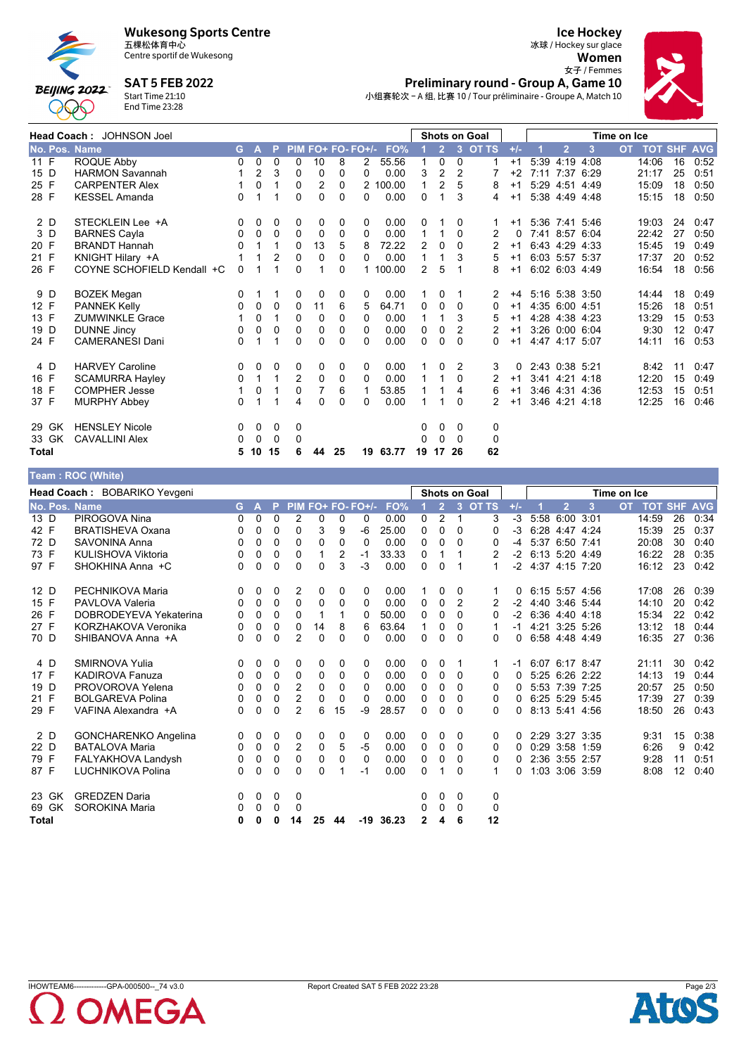

**Wukesong Sports Centre** 

Centre sportif de Wukesong

**SAT 5 FEB 2022** 

**BEIJING 2022** Start Time 21:10<br>End Time 23:28

**000** 





|               | Head Coach: JOHNSON Joel   |          |                |                |             |                |    |                   |          |              |                |              | Shots on Goal  |       |      |                |                | Time on Ice |            |            |            |
|---------------|----------------------------|----------|----------------|----------------|-------------|----------------|----|-------------------|----------|--------------|----------------|--------------|----------------|-------|------|----------------|----------------|-------------|------------|------------|------------|
| No. Pos. Name |                            | G.       | A              | P              |             |                |    | PIM FO+ FO- FO+/- | FO%      |              | $\overline{2}$ | $\mathbf{3}$ | <b>OT TS</b>   | $+/-$ |      | $\overline{2}$ | 3              | <b>OT</b>   | <b>TOT</b> | <b>SHF</b> | <b>AVG</b> |
| 11 F          | ROQUE Abby                 | 0        | 0              | 0              | 0           | 10             | 8  | 2                 | 55.56    |              | 0              | 0            | 1              | $+1$  | 5:39 | 4:19           | 4:08           |             | 14:06      | 16         | 0:52       |
| 15 D          | <b>HARMON Savannah</b>     |          | $\overline{2}$ | 3              | 0           | 0              | 0  | 0                 | 0.00     | 3            | $\overline{2}$ | 2            |                | $+2$  |      |                | 7:11 7:37 6:29 |             | 21:17      | 25         | 0:51       |
| 25 F          | <b>CARPENTER Alex</b>      |          | 0              | 1              | 0           | 2              | 0  |                   | 2 100.00 | $\mathbf{1}$ | 2              | 5            | 8              | $+1$  |      | 5:29 4:51      | 4:49           |             | 15:09      | 18         | 0:50       |
| 28 F          | <b>KESSEL Amanda</b>       | $\Omega$ | 1              |                | $\Omega$    | $\Omega$       | 0  | $\Omega$          | 0.00     | 0            | 1              | 3            | 4              | $+1$  |      | 5:38 4:49 4:48 |                |             | 15:15      | 18         | 0:50       |
| 2 D           | STECKLEIN Lee +A           | 0        | 0              | 0              | 0           | 0              | 0  | 0                 | 0.00     | 0            |                | 0            |                | $+1$  |      | 5:36 7:41 5:46 |                |             | 19:03      | 24         | 0:47       |
| 3 D           | <b>BARNES Cayla</b>        | 0        | 0              | 0              | 0           | 0              | 0  | 0                 | 0.00     | 1            |                | $\Omega$     | 2              | 0     |      | 7:41 8:57      | 6:04           |             | 22:42      | 27         | 0:50       |
| 20 F          | <b>BRANDT Hannah</b>       | 0        | 1              | 1              | 0           | 13             | 5  | 8                 | 72.22    | 2            | 0              | 0            | 2              | $+1$  |      | 6:43 4:29 4:33 |                |             | 15:45      | 19         | 0:49       |
| 21 F          | KNIGHT Hilary +A           |          |                | $\overline{2}$ | $\mathbf 0$ | $\Omega$       | 0  | 0                 | 0.00     | 1            | 1              | 3            | 5              | $+1$  |      | 6:03 5:57 5:37 |                |             | 17:37      | 20         | 0:52       |
| 26 F          | COYNE SCHOFIELD Kendall +C | 0        |                | 4              | 0           |                | 0  | 1                 | 100.00   | 2            | 5              |              | 8              | $+1$  |      | 6:02 6:03 4:49 |                |             | 16:54      | 18         | 0:56       |
| 9 D           | <b>BOZEK Megan</b>         | 0        |                |                | 0           | 0              | 0  | 0                 | 0.00     | 1            | 0              |              | 2              | $+4$  |      |                | 5:16 5:38 3:50 |             | 14:44      | 18         | 0:49       |
| 12 F          | <b>PANNEK Kelly</b>        | 0        | 0              | 0              | 0           | 11             | 6  | 5                 | 64.71    | 0            | 0              | 0            | 0              | $+1$  |      | 4:35 6:00 4:51 |                |             | 15:26      | 18         | 0:51       |
| 13 F          | <b>ZUMWINKLE Grace</b>     |          | 0              | 1              | $\mathbf 0$ | $\mathbf 0$    | 0  | 0                 | 0.00     | 1            | 1              | 3            | 5              | $+1$  |      | 4:28 4:38 4:23 |                |             | 13:29      | 15         | 0:53       |
| 19 D          | <b>DUNNE Jincy</b>         | 0        | 0              | $\Omega$       | $\Omega$    | $\Omega$       | 0  | $\Omega$          | 0.00     | 0            | $\Omega$       | 2            | 2              | $+1$  |      | 3:26 0:00 6:04 |                |             | 9:30       | 12         | 0:47       |
| 24 F          | <b>CAMERANESI Dani</b>     | 0        | 1              | 1              | 0           | 0              | 0  | 0                 | 0.00     | 0            | 0              | $\Omega$     | 0              | $+1$  |      | 4:47 4:17 5:07 |                |             | 14:11      | 16         | 0:53       |
| 4 D           | <b>HARVEY Caroline</b>     | 0        | 0              | 0              | 0           | 0              | 0  | 0                 | 0.00     |              | 0              | 2            | 3              | 0     |      | 2:43 0:38 5:21 |                |             | 8:42       | 11         | 0:47       |
| 16 F          | <b>SCAMURRA Hayley</b>     | 0        | 1              | 1              | 2           | 0              | 0  | 0                 | 0.00     |              |                | $\Omega$     |                | $+1$  |      | 3.41 4.21      | 4:18           |             | 12:20      | 15         | 0:49       |
| 18 F          | <b>COMPHER Jesse</b>       |          | 0              | 1              | 0           | $\overline{7}$ | 6  | $\mathbf 1$       | 53.85    |              |                | 4            | 6              | $+1$  |      | 3:46 4:31      | 4:36           |             | 12:53      | 15         | 0:51       |
| 37 F          | <b>MURPHY Abbey</b>        | 0        | 1              | 1              | 4           | $\Omega$       | 0  | $\Omega$          | 0.00     | 1            | 1              | $\Omega$     | $\overline{2}$ | $+1$  |      | 3:46 4:21      | 4:18           |             | 12:25      | 16         | 0:46       |
| 29 GK         | <b>HENSLEY Nicole</b>      | 0        | 0              | 0              | 0           |                |    |                   |          | 0            | 0              | $\Omega$     | 0              |       |      |                |                |             |            |            |            |
| 33 GK         | <b>CAVALLINI Alex</b>      | 0        | 0              | 0              | 0           |                |    |                   |          | 0            | $\Omega$       | $\Omega$     | 0              |       |      |                |                |             |            |            |            |
| <b>Total</b>  |                            | 5        | 10             | 15             | 6           | 44             | 25 |                   | 19 63.77 | 19           | 17             | 26           | 62             |       |      |                |                |             |            |            |            |

| Геаm : ROC (White) |                              |    |              |          |                |              |                |                   |       |              |                |                |                      |          |                     |                |      |             |                |    |            |
|--------------------|------------------------------|----|--------------|----------|----------------|--------------|----------------|-------------------|-------|--------------|----------------|----------------|----------------------|----------|---------------------|----------------|------|-------------|----------------|----|------------|
|                    | Head Coach: BOBARIKO Yevgeni |    |              |          |                |              |                |                   |       |              |                |                | <b>Shots on Goal</b> |          |                     |                |      | Time on Ice |                |    |            |
| No. Pos. Name      |                              | G. | $\mathbf{A}$ | P        |                |              |                | PIM FO+ FO- FO+/- | FO%   |              | $\overline{2}$ | 3              | <b>OT TS</b>         | $+/-$    |                     | $\overline{2}$ | 3    | <b>OT</b>   | <b>TOT SHF</b> |    | <b>AVG</b> |
| 13 D               | PIROGOVA Nina                | 0  | $\mathbf{0}$ | $\Omega$ | 2              | $\Omega$     | 0              | $\Omega$          | 0.00  | $\Omega$     | 2              | $\overline{1}$ | 3                    | $-3$     |                     | 5:58 6:00 3:01 |      |             | 14:59          | 26 | 0:34       |
| 42 F               | <b>BRATISHEVA Oxana</b>      | 0  | 0            | 0        | $\Omega$       | 3            | 9              | -6                | 25.00 | 0            | $\Omega$       | $\Omega$       | 0                    | $-3$     |                     | 6:28 4:47 4:24 |      |             | 15:39          | 25 | 0:37       |
| 72 D               | SAVONINA Anna                | 0  | 0            | $\Omega$ | $\Omega$       | $\Omega$     | 0              | $\Omega$          | 0.00  | $\mathbf{0}$ | $\Omega$       | $\Omega$       | 0                    | $-4$     |                     | 5:37 6:50 7:41 |      |             | 20:08          | 30 | 0:40       |
| 73 F               | KULISHOVA Viktoria           | 0  | 0            | 0        | $\Omega$       | 1            | $\overline{2}$ | $-1$              | 33.33 | 0            |                | -1             | 2                    | $-2$     | 6:13 5:20 4:49      |                |      |             | 16:22          | 28 | 0:35       |
| 97 F               | SHOKHINA Anna +C             | 0  | 0            | 0        | $\Omega$       | $\Omega$     | 3              | $-3$              | 0.00  | $\mathbf{0}$ | $\Omega$       | $\mathbf{1}$   | 1                    |          | -2 4:37 4:15 7:20   |                |      |             | 16:12          | 23 | 0:42       |
| 12 D               | PECHNIKOVA Maria             | 0  | 0            | 0        | 2              | 0            | 0              | 0                 | 0.00  |              | 0              | 0              | 1                    | 0        |                     | 6:15 5:57 4:56 |      |             | 17:08          | 26 | 0:39       |
| 15 F               | PAVLOVA Valeria              | 0  | $\mathbf{0}$ | $\Omega$ | $\mathbf{0}$   | $\mathbf{0}$ | $\Omega$       | $\Omega$          | 0.00  | $\Omega$     | $\Omega$       | 2              | 2                    | $-2$     | 4:40 3:46 5:44      |                |      |             | 14:10          | 20 | 0:42       |
| 26 F               | DOBRODEYEVA Yekaterina       | 0  | 0            | 0        | 0              | 1            |                | 0                 | 50.00 | 0            | 0              | $\mathbf{0}$   | 0                    | $-2$     |                     | 6:36 4:40 4:18 |      |             | 15:34          | 22 | 0:42       |
| 27 F               | KORZHAKOVA Veronika          | 0  | 0            | 0        | 0              | 14           | 8              | 6                 | 63.64 | 1            | 0              | $\Omega$       | 1                    |          | $-1$ 4:21 3:25 5:26 |                |      |             | 13:12          | 18 | 0:44       |
| 70 D               | SHIBANOVA Anna +A            | 0  | 0            | 0        | 2              | $\Omega$     | 0              | 0                 | 0.00  | $\mathbf{0}$ | $\Omega$       | $\Omega$       | 0                    | 0        |                     | 6:58 4:48 4:49 |      |             | 16:35          | 27 | 0:36       |
| 4 D                | SMIRNOVA Yulia               | 0  | 0            | 0        | 0              | 0            | 0              | 0                 | 0.00  | 0            | 0              | -1             | 1                    | $-1$     | 6:07 6:17 8:47      |                |      |             | 21:11          | 30 | 0:42       |
| 17 F               | <b>KADIROVA Fanuza</b>       | 0  | 0            | 0        | 0              | 0            | 0              | $\Omega$          | 0.00  | $\Omega$     | 0              | $\Omega$       | 0                    | $\Omega$ |                     | 5:25 6:26 2:22 |      |             | 14:13          | 19 | 0:44       |
| 19 D               | PROVOROVA Yelena             | 0  | 0            | $\Omega$ | 2              | $\Omega$     | 0              | 0                 | 0.00  | $\Omega$     | 0              | $\Omega$       | 0                    | 0        |                     | 5:53 7:39      | 7:25 |             | 20:57          | 25 | 0:50       |
| 21 F               | <b>BOLGAREVA Polina</b>      | 0  | 0            | 0        | 2              | $\Omega$     | $\Omega$       | $\mathbf{0}$      | 0.00  | $\Omega$     | $\Omega$       | $\Omega$       | $\Omega$             | $\Omega$ |                     | 6:25 5:29 5:45 |      |             | 17:39          | 27 | 0:39       |
| 29 F               | VAFINA Alexandra +A          | 0  | 0            | 0        | $\overline{2}$ | 6            | 15             | $-9$              | 28.57 | $\Omega$     | 0              | $\Omega$       | 0                    | 0        | 8:13 5:41 4:56      |                |      |             | 18:50          | 26 | 0:43       |
| 2 D                | <b>GONCHARENKO Angelina</b>  | 0  | 0            | 0        | 0              | 0            | 0              | $\mathbf 0$       | 0.00  | 0            | 0              | $\Omega$       | 0                    | 0        |                     | 2:29 3:27 3:35 |      |             | 9:31           | 15 | 0:38       |
| 22 D               | <b>BATALOVA Maria</b>        | 0  | 0            | 0        | 2              | $\mathbf 0$  | 5              | $-5$              | 0.00  | $\Omega$     | $\mathbf{0}$   | $\Omega$       | 0                    | $\Omega$ |                     | 0:29 3:58 1:59 |      |             | 6:26           | 9  | 0:42       |
| 79 F               | FALYAKHOVA Landysh           | 0  | 0            | 0        | 0              | 0            | 0              | $\mathbf 0$       | 0.00  | 0            | 0              | 0              | 0                    | 0        |                     | 2:36 3:55 2:57 |      |             | 9:28           | 11 | 0:51       |
| 87 F               | <b>LUCHNIKOVA Polina</b>     | 0  | 0            | $\Omega$ | $\Omega$       | $\Omega$     |                | $-1$              | 0.00  | $\mathbf{0}$ | 1              | $\Omega$       | 1                    | 0        |                     | 1:03 3:06 3:59 |      |             | 8:08           | 12 | 0:40       |
| 23 GK              | <b>GREDZEN Daria</b>         | 0  | 0            | 0        | 0              |              |                |                   |       | 0            | 0              | 0              | 0                    |          |                     |                |      |             |                |    |            |
| 69 GK              | SOROKINA Maria               | 0  | 0            | $\Omega$ | 0              |              |                |                   |       | 0            | $\mathbf{0}$   | $\Omega$       | 0                    |          |                     |                |      |             |                |    |            |
| <b>Total</b>       |                              | 0  | 0            | 0        | 14             | 25           | 44             | $-19$             | 36.23 | $\mathbf{2}$ | 4              | 6              | 12                   |          |                     |                |      |             |                |    |            |